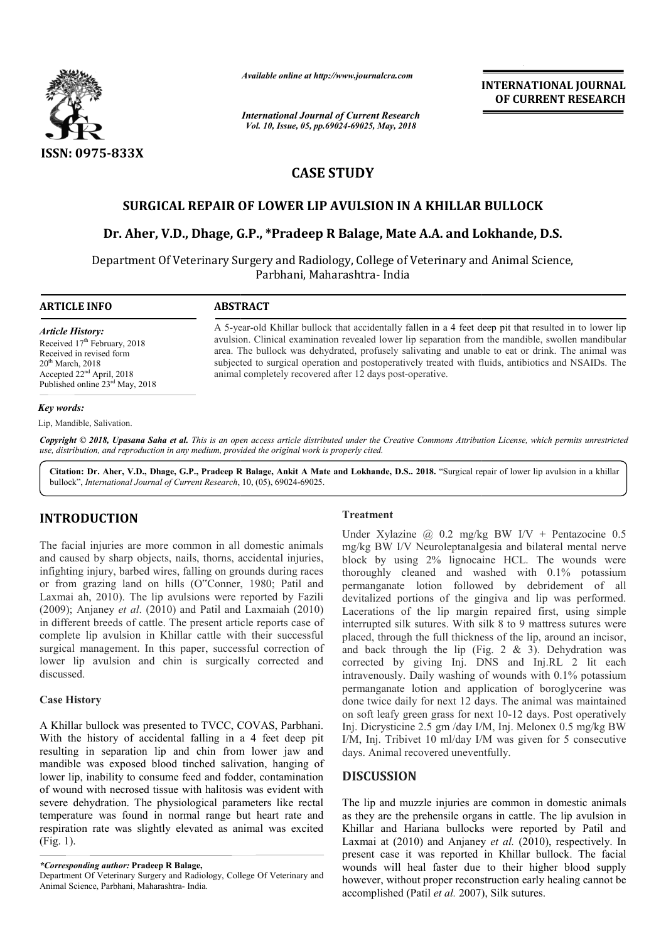

*Available online at http://www.journalcra.com*

*International Journal of Current Research Vol. 10, Issue, 05, pp.69024-69025, May, 2018*

**INTERNATIONAL JOURNAL OF CURRENT RESEARCH**

# **CASE STUDY**

# **SURGICAL REPAIR OF LOWER LIP AVULSION IN A KHILLAR BULLOCK**

## **Dr. Aher, V.D., Dhage, G.P., \*Pradeep R Balage, Mate A.A A.A. and Lokhande, D.S.**

Department Of Veterinary Surgery and Radiology, College of Veterinary and Animal Science, Parbhani, Maharashtra- India

### **ARTICLE INFO ABSTRACT**

Received 17<sup>th</sup> February, 2018 Received in revised form  $20<sup>th</sup>$  March, 2018 Accepted 22nd April, 2018 Published online 23<sup>rd</sup> May, 2018

*Article History:*

A 5-year-old Khillar bullock that accidentally fallen in a 4 feet deep pit that resulted in to lower lip avulsion. Clinical examination revealed lower lip separation from the mandible, swollen mandibular area. The bullock was dehydrated, profusely salivating and unable to eat or drink. The animal was subjected to surgical operation and postoperatively treated with fluids, antibiotics and NSAIDs. The animal completely recovered after 12 days post-operative. avulsion. Clinical examination revealed lower lip separation from the mandible, area. The bullock was dehydrated, profusely salivating and unable to eat or dri<br>subjected to surgical operation and postoperatively treated wi

#### *Key words:*

Lip, Mandible, Salivation.

Copyright © 2018, Upasana Saha et al. This is an open access article distributed under the Creative Commons Attribution License, which permits unrestricted *use, distribution, and reproduction in any medium, provided the original work is properly cited.*

Citation: Dr. Aher, V.D., Dhage, G.P., Pradeep R Balage, Ankit A Mate and Lokhande, D.S.. 2018. "Surgical repair of lower lip avulsion in a khillar bullock", *International Journal of Current Research*, 10, (05), 69024-69025.

## **INTRODUCTION**

The facial injuries are more common in all domestic animals and caused by sharp objects, nails, thorns, accidental injuries, infighting injury, barbed wires, falling on grounds during races or from grazing land on hills (O"Conner, 1980; Patil and Laxmai ah, 2010). The lip avulsions were reported by Fazili (2009); Anjaney *et al*. (2010) and Patil and Laxmaiah (2010) in different breeds of cattle. The present article reports case of complete lip avulsion in Khillar cattle with their successful surgical management. In this paper, successful correction of lower lip avulsion and chin is surgically corrected and discussed. **Treatment**<br>
Under Xyl<br>
injuries are more common in all domestic animals<br>
log/kg BW<br>
by sharp objects, nails, thorns, accidental injuries,<br>
injury, barbed wires, falling on grounds during races<br>
razing land on hills (O"Con

## **Case History**

A Khillar bullock was presented to TVCC, COVAS, Parbhani. With the history of accidental falling in a 4 feet deep pit resulting in separation lip and chin from lower jaw and mandible was exposed blood tinched salivation, hanging of lower lip, inability to consume feed and fodder, contamination of wound with necrosed tissue with halitosis was evident with severe dehydration. The physiological parameters like rectal temperature was found in normal range but heart rate and respiration rate was slightly elevated as animal was excited (Fig. 1).

Under Xylazine  $\omega$  0.2 mg/kg BW I/V + Pentazocine 0.5 mg/kg BW I/V Neuroleptanalgesia and bilateral mental nerve block by using 2% lignocaine HCL. The wounds were thoroughly cleaned and washed with 0.1% potassium permanganate lotion followed by debridement of all devitalized portions of the gingiva and lip was performed. Lacerations of the lip margin repaired first, using simple interrupted silk sutures. With silk 8 to 9 mattress sutures were placed, through the full thickness of the lip, around an incisor, and back through the lip (Fig.  $2 \& 3$ ). Dehydration was corrected by giving Inj. DNS and Inj.RL 2 lit each intravenously. Daily washing of wounds with 0.1% potassium permanganate lotion and application of boroglycerine was done twice daily for next 12 days. The animal was maintained corrected by giving Inj. DNS and Inj.RL 2 lit each intravenously. Daily washing of wounds with 0.1% potassium permanganate lotion and application of boroglycerine was done twice daily for next 12 days. The animal was maint Inj. Dicrysticine 2.5 gm /day I/M, Inj. Melonex 0.5 mg/kg BW I/M, Inj. Tribivet 10 ml/day I/M was given for 5 consecutive days. Animal recovered uneventfully. I/V Neuroleptanalgesia and bilateral mental nerve<br>using 2% lignocaine HCL. The wounds were<br>cleaned and washed with 0.1% potassium<br>ate lotion followed by debridement of all<br>portions of the gingiva and lip was performed. the lip margin repaired first, using simple<br>sutures. With silk 8 to 9 mattress sutures were<br>the full thickness of the lip, around an incisor,<br>gh the lip (Fig. 2 & 3). Dehydration was Dicrysticine 2.5 gm /day I/M, Inj. Melonex 0.5 mg/kg<br>Inj. Tribivet 10 ml/day I/M was given for 5 consect<br>S. Animal recovered uneventfully.

## **DISCUSSION**

The lip and muzzle injuries are common in domestic animals as they are the prehensile organs in cattle. The lip avulsion in Khillar and Hariana bullocks were reported by Patil and Khillar and Hariana bullocks were reported by Patil and Laxmai at (2010) and Anjaney *et al.* (2010), respectively. In present case it was reported in Khillar bullock. The facial wounds will heal faster due to their higher blood supply however, without proper reconstruction early healing cannot be accomplished (Patil *et al.* 2007), wounds will heal faster due to their higher blood supply however, without proper reconstruction early healing cannot be accomplished (Patil *et al.* 2007), Silk sutures.

*<sup>\*</sup>Corresponding author:* **Pradeep R Balage,** 

Department Of Veterinary Surgery and Radiology, College Of Veterinary and Animal Science, Parbhani, Maharashtra- India.